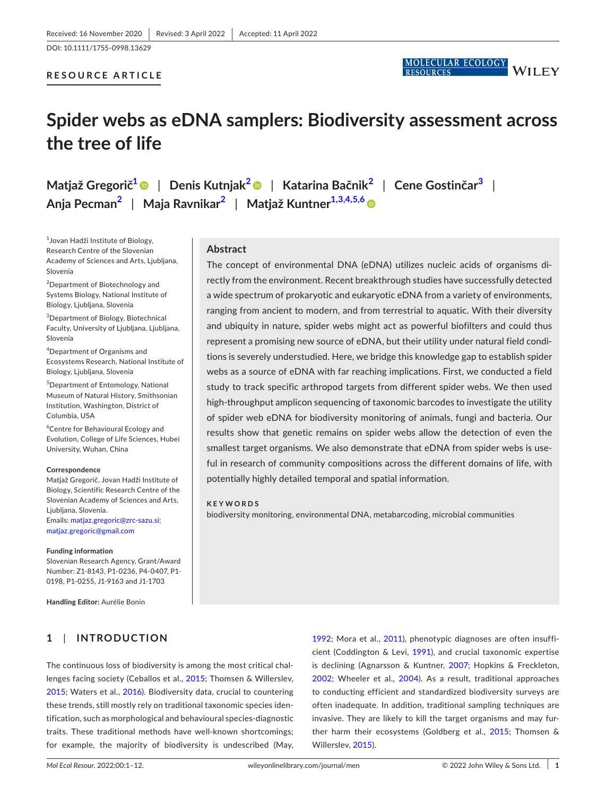DOI: 10.1111/1755-0998.13629

#### **RESOURCE ARTICLE**



# **Spider webs as eDNA samplers: Biodiversity assessment across the tree of life**

**Matjaž Gregorič[1](#page-0-0)** | **Denis Kutnjak[2](#page-0-1)** | **Katarina Bačnik[2](#page-0-1)** | **Cene Gostinčar[3](#page-0-2)** | **Anja Pecman[2](#page-0-1)** | **Maja Ravnikar[2](#page-0-1)** | **Matjaž Kuntner[1,3,4,5,6](#page-0-0)**

<span id="page-0-0"></span>1 Jovan Hadži Institute of Biology, Research Centre of the Slovenian Academy of Sciences and Arts, Ljubljana, Slovenia

<span id="page-0-1"></span><sup>2</sup>Department of Biotechnology and Systems Biology, National Institute of Biology, Ljubljana, Slovenia

<span id="page-0-2"></span>3 Department of Biology, Biotechnical Faculty, University of Ljubljana, Ljubljana, Slovenia

4 Department of Organisms and Ecosystems Research, National Institute of Biology, Ljubljana, Slovenia

5 Department of Entomology, National Museum of Natural History, Smithsonian Institution, Washington, District of Columbia, USA

6 Centre for Behavioural Ecology and Evolution, College of Life Sciences, Hubei University, Wuhan, China

#### **Correspondence**

Matjaž Gregorič, Jovan Hadži Institute of Biology, Scientific Research Centre of the Slovenian Academy of Sciences and Arts, Liubliana, Slovenia. Emails: [matjaz.gregoric@zrc-sazu.si;](mailto:matjaz.gregoric@zrc-sazu.si) [matjaz.gregoric@gmail.com](mailto:matjaz.gregoric@gmail.com)

#### **Funding information**

Slovenian Research Agency, Grant/Award Number: Z1-8143, P1-0236, P4-0407, P1- 0198, P1-0255, J1-9163 and J1-1703

**Handling Editor:** Aurélie Bonin

## **1**  | **INTRODUCTION**

The continuous loss of biodiversity is among the most critical challenges facing society (Ceballos et al., [2015;](#page-9-0) Thomsen & Willerslev, [2015](#page-11-0); Waters et al., [2016](#page-11-1)). Biodiversity data, crucial to countering these trends, still mostly rely on traditional taxonomic species identification, such as morphological and behavioural species-diagnostic traits. These traditional methods have well-known shortcomings; for example, the majority of biodiversity is undescribed (May,

[1992](#page-10-0); Mora et al., [2011\)](#page-10-1), phenotypic diagnoses are often insufficient (Coddington & Levi, [1991\)](#page-9-1), and crucial taxonomic expertise is declining (Agnarsson & Kuntner, [2007;](#page-8-0) Hopkins & Freckleton, [2002](#page-9-2); Wheeler et al., [2004](#page-11-2)). As a result, traditional approaches to conducting efficient and standardized biodiversity surveys are often inadequate. In addition, traditional sampling techniques are invasive. They are likely to kill the target organisms and may further harm their ecosystems (Goldberg et al., [2015](#page-9-3); Thomsen & Willerslev, [2015\)](#page-11-0).

#### **Abstract**

The concept of environmental DNA (eDNA) utilizes nucleic acids of organisms directly from the environment. Recent breakthrough studies have successfully detected a wide spectrum of prokaryotic and eukaryotic eDNA from a variety of environments, ranging from ancient to modern, and from terrestrial to aquatic. With their diversity and ubiquity in nature, spider webs might act as powerful biofilters and could thus represent a promising new source of eDNA, but their utility under natural field conditions is severely understudied. Here, we bridge this knowledge gap to establish spider webs as a source of eDNA with far reaching implications. First, we conducted a field study to track specific arthropod targets from different spider webs. We then used high-throughput amplicon sequencing of taxonomic barcodes to investigate the utility of spider web eDNA for biodiversity monitoring of animals, fungi and bacteria. Our results show that genetic remains on spider webs allow the detection of even the smallest target organisms. We also demonstrate that eDNA from spider webs is useful in research of community compositions across the different domains of life, with potentially highly detailed temporal and spatial information.

#### **KEYWORDS**

biodiversity monitoring, environmental DNA, metabarcoding, microbial communities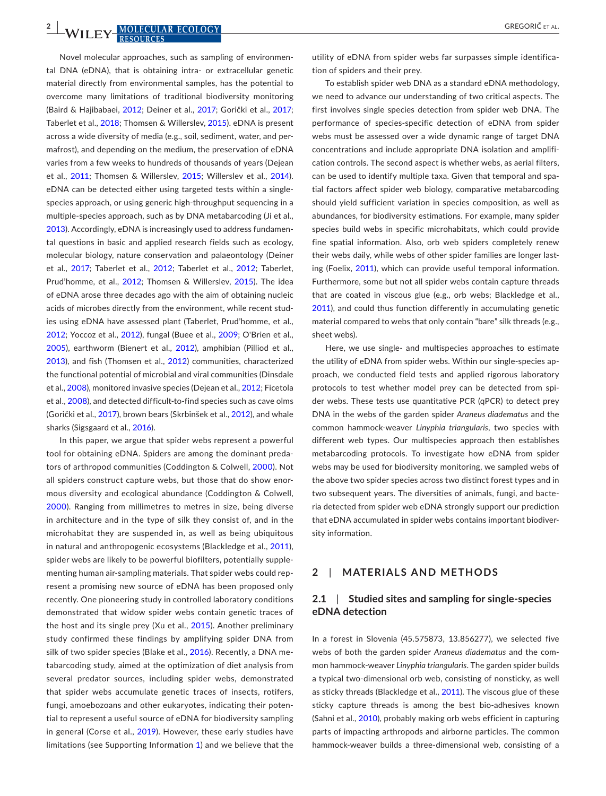**2 | MOLECULAR ECOLOGY CONFIDENTIAL CONFIDENTIAL** 

Novel molecular approaches, such as sampling of environmental DNA (eDNA), that is obtaining intra- or extracellular genetic material directly from environmental samples, has the potential to overcome many limitations of traditional biodiversity monitoring (Baird & Hajibabaei, [2012](#page-8-1); Deiner et al., [2017](#page-9-4); Gorički et al., [2017](#page-9-5); Taberlet et al., [2018](#page-10-2); Thomsen & Willerslev, [2015\)](#page-11-0). eDNA is present across a wide diversity of media (e.g., soil, sediment, water, and permafrost), and depending on the medium, the preservation of eDNA varies from a few weeks to hundreds of thousands of years (Dejean et al., [2011;](#page-9-6) Thomsen & Willerslev, [2015;](#page-11-0) Willerslev et al., [2014](#page-11-3)). eDNA can be detected either using targeted tests within a singlespecies approach, or using generic high-throughput sequencing in a multiple-species approach, such as by DNA metabarcoding (Ji et al., [2013](#page-9-7)). Accordingly, eDNA is increasingly used to address fundamental questions in basic and applied research fields such as ecology, molecular biology, nature conservation and palaeontology (Deiner et al., [2017;](#page-9-4) Taberlet et al., [2012;](#page-11-4) Taberlet et al., [2012](#page-11-5); Taberlet, Prud'homme, et al., [2012;](#page-11-6) Thomsen & Willerslev, [2015](#page-11-0)). The idea of eDNA arose three decades ago with the aim of obtaining nucleic acids of microbes directly from the environment, while recent studies using eDNA have assessed plant (Taberlet, Prud'homme, et al., [2012](#page-11-6); Yoccoz et al., [2012\)](#page-11-7), fungal (Buee et al., [2009;](#page-9-8) O'Brien et al., [2005\)](#page-10-3), earthworm (Bienert et al., [2012](#page-8-2)), amphibian (Pilliod et al., [2013](#page-10-4)), and fish (Thomsen et al., [2012\)](#page-11-8) communities, characterized the functional potential of microbial and viral communities (Dinsdale et al., [2008](#page-9-9)), monitored invasive species (Dejean et al., [2012](#page-9-10); Ficetola et al., [2008\)](#page-9-11), and detected difficult-to-find species such as cave olms (Gorički et al., [2017](#page-9-5)), brown bears (Skrbinšek et al., [2012](#page-10-5)), and whale sharks (Sigsgaard et al., [2016\)](#page-10-6).

In this paper, we argue that spider webs represent a powerful tool for obtaining eDNA. Spiders are among the dominant predators of arthropod communities (Coddington & Colwell, [2000](#page-9-12)). Not all spiders construct capture webs, but those that do show enormous diversity and ecological abundance (Coddington & Colwell, [2000\)](#page-9-12). Ranging from millimetres to metres in size, being diverse in architecture and in the type of silk they consist of, and in the microhabitat they are suspended in, as well as being ubiquitous in natural and anthropogenic ecosystems (Blackledge et al., [2011](#page-8-3)), spider webs are likely to be powerful biofilters, potentially supplementing human air-sampling materials. That spider webs could represent a promising new source of eDNA has been proposed only recently. One pioneering study in controlled laboratory conditions demonstrated that widow spider webs contain genetic traces of the host and its single prey (Xu et al., [2015\)](#page-11-9). Another preliminary study confirmed these findings by amplifying spider DNA from silk of two spider species (Blake et al., [2016](#page-8-4)). Recently, a DNA metabarcoding study, aimed at the optimization of diet analysis from several predator sources, including spider webs, demonstrated that spider webs accumulate genetic traces of insects, rotifers, fungi, amoebozoans and other eukaryotes, indicating their potential to represent a useful source of eDNA for biodiversity sampling in general (Corse et al., [2019](#page-9-13)). However, these early studies have limitations (see Supporting Information [1](#page-11-10)) and we believe that the

utility of eDNA from spider webs far surpasses simple identification of spiders and their prey.

To establish spider web DNA as a standard eDNA methodology, we need to advance our understanding of two critical aspects. The first involves single species detection from spider web DNA. The performance of species-specific detection of eDNA from spider webs must be assessed over a wide dynamic range of target DNA concentrations and include appropriate DNA isolation and amplification controls. The second aspect is whether webs, as aerial filters, can be used to identify multiple taxa. Given that temporal and spatial factors affect spider web biology, comparative metabarcoding should yield sufficient variation in species composition, as well as abundances, for biodiversity estimations. For example, many spider species build webs in specific microhabitats, which could provide fine spatial information. Also, orb web spiders completely renew their webs daily, while webs of other spider families are longer lasting (Foelix, [2011\)](#page-9-14), which can provide useful temporal information. Furthermore, some but not all spider webs contain capture threads that are coated in viscous glue (e.g., orb webs; Blackledge et al., [2011](#page-8-3)), and could thus function differently in accumulating genetic material compared to webs that only contain "bare" silk threads (e.g., sheet webs).

Here, we use single- and multispecies approaches to estimate the utility of eDNA from spider webs. Within our single-species approach, we conducted field tests and applied rigorous laboratory protocols to test whether model prey can be detected from spider webs. These tests use quantitative PCR (qPCR) to detect prey DNA in the webs of the garden spider *Araneus diadematus* and the common hammock-weaver *Linyphia triangularis*, two species with different web types. Our multispecies approach then establishes metabarcoding protocols. To investigate how eDNA from spider webs may be used for biodiversity monitoring, we sampled webs of the above two spider species across two distinct forest types and in two subsequent years. The diversities of animals, fungi, and bacteria detected from spider web eDNA strongly support our prediction that eDNA accumulated in spider webs contains important biodiversity information.

## **2**  | **MATERIALS AND METHODS**

#### **2.1**  | **Studied sites and sampling for single-species eDNA detection**

In a forest in Slovenia (45.575873, 13.856277), we selected five webs of both the garden spider *Araneus diadematus* and the common hammock-weaver *Linyphia triangularis*. The garden spider builds a typical two-dimensional orb web, consisting of nonsticky, as well as sticky threads (Blackledge et al., [2011](#page-8-3)). The viscous glue of these sticky capture threads is among the best bio-adhesives known (Sahni et al., [2010](#page-10-7)), probably making orb webs efficient in capturing parts of impacting arthropods and airborne particles. The common hammock-weaver builds a three-dimensional web, consisting of a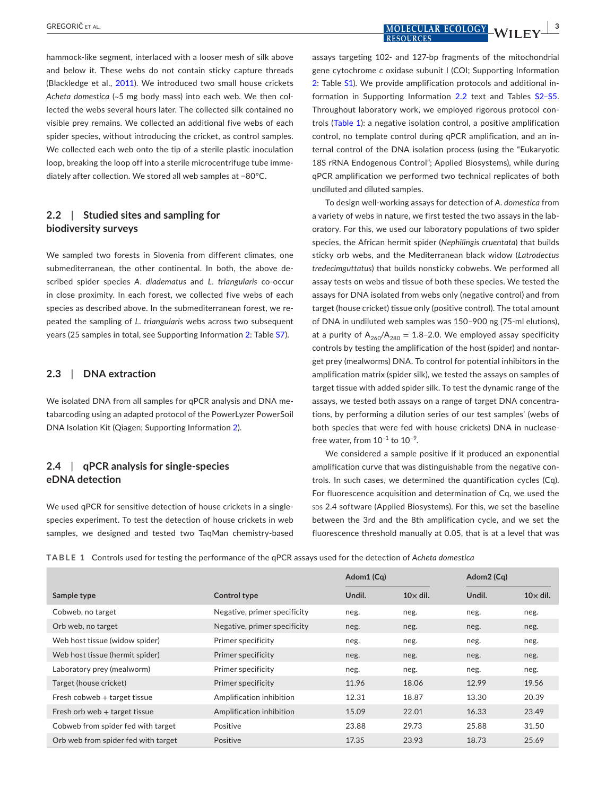hammock-like segment, interlaced with a looser mesh of silk above and below it. These webs do not contain sticky capture threads (Blackledge et al., [2011\)](#page-8-3). We introduced two small house crickets *Acheta domestica* (~5 mg body mass) into each web. We then collected the webs several hours later. The collected silk contained no visible prey remains. We collected an additional five webs of each spider species, without introducing the cricket, as control samples. We collected each web onto the tip of a sterile plastic inoculation loop, breaking the loop off into a sterile microcentrifuge tube immediately after collection. We stored all web samples at −80°C.

## **2.2**  | **Studied sites and sampling for biodiversity surveys**

We sampled two forests in Slovenia from different climates, one submediterranean, the other continental. In both, the above described spider species *A*. *diadematus* and *L*. *triangularis* co-occur in close proximity. In each forest, we collected five webs of each species as described above. In the submediterranean forest, we repeated the sampling of *L*. *triangularis* webs across two subsequent years (25 samples in total, see Supporting Information [2:](#page-11-10) Table [S7](#page-11-10)).

#### **2.3**  | **DNA extraction**

We isolated DNA from all samples for qPCR analysis and DNA metabarcoding using an adapted protocol of the PowerLyzer PowerSoil DNA Isolation Kit (Qiagen; Supporting Information [2\)](#page-11-10).

## **2.4**  | **qPCR analysis for single-species eDNA detection**

We used qPCR for sensitive detection of house crickets in a singlespecies experiment. To test the detection of house crickets in web samples, we designed and tested two TaqMan chemistry-based

assays targeting 102- and 127-bp fragments of the mitochondrial gene cytochrome *c* oxidase subunit I (COI; Supporting Information [2:](#page-11-10) Table [S1](#page-11-10)). We provide amplification protocols and additional information in Supporting Information [2.2](#page-11-10) text and Tables [S2–S5.](#page-11-10) Throughout laboratory work, we employed rigorous protocol controls (Table [1\)](#page-2-0): a negative isolation control, a positive amplification control, no template control during qPCR amplification, and an internal control of the DNA isolation process (using the "Eukaryotic 18S rRNA Endogenous Control"; Applied Biosystems), while during qPCR amplification we performed two technical replicates of both undiluted and diluted samples.

To design well-working assays for detection of *A*. *domestica* from a variety of webs in nature, we first tested the two assays in the laboratory. For this, we used our laboratory populations of two spider species, the African hermit spider (*Nephilingis cruentata*) that builds sticky orb webs, and the Mediterranean black widow (*Latrodectus tredecimguttatus*) that builds nonsticky cobwebs. We performed all assay tests on webs and tissue of both these species. We tested the assays for DNA isolated from webs only (negative control) and from target (house cricket) tissue only (positive control). The total amount of DNA in undiluted web samples was 150–900 ng (75-ml elutions), at a purity of  $A_{260}/A_{280} = 1.8$ -2.0. We employed assay specificity controls by testing the amplification of the host (spider) and nontarget prey (mealworms) DNA. To control for potential inhibitors in the amplification matrix (spider silk), we tested the assays on samples of target tissue with added spider silk. To test the dynamic range of the assays, we tested both assays on a range of target DNA concentrations, by performing a dilution series of our test samples' (webs of both species that were fed with house crickets) DNA in nucleasefree water, from  $10^{-1}$  to  $10^{-9}$ .

We considered a sample positive if it produced an exponential amplification curve that was distinguishable from the negative controls. In such cases, we determined the quantification cycles (Cq). For fluorescence acquisition and determination of Cq, we used the sps 2.4 software (Applied Biosystems). For this, we set the baseline between the 3rd and the 8th amplification cycle, and we set the fluorescence threshold manually at 0.05, that is at a level that was

<span id="page-2-0"></span>**TABLE 1** Controls used for testing the performance of the qPCR assays used for the detection of *Acheta domestica*

|                                     |                              | Adom1 (Cq) |                 | Adom <sub>2</sub> (Cq) |                 |
|-------------------------------------|------------------------------|------------|-----------------|------------------------|-----------------|
| Sample type                         | Control type                 | Undil.     | $10\times$ dil. | Undil.                 | $10\times$ dil. |
| Cobweb, no target                   | Negative, primer specificity | neg.       | neg.            | neg.                   | neg.            |
| Orb web, no target                  | Negative, primer specificity | neg.       | neg.            | neg.                   | neg.            |
| Web host tissue (widow spider)      | Primer specificity           | neg.       | neg.            | neg.                   | neg.            |
| Web host tissue (hermit spider)     | Primer specificity           | neg.       | neg.            | neg.                   | neg.            |
| Laboratory prey (mealworm)          | Primer specificity           | neg.       | neg.            | neg.                   | neg.            |
| Target (house cricket)              | Primer specificity           | 11.96      | 18.06           | 12.99                  | 19.56           |
| Fresh cobweb $+$ target tissue      | Amplification inhibition     | 12.31      | 18.87           | 13.30                  | 20.39           |
| Fresh orb web $+$ target tissue     | Amplification inhibition     | 15.09      | 22.01           | 16.33                  | 23.49           |
| Cobweb from spider fed with target  | Positive                     | 23.88      | 29.73           | 25.88                  | 31.50           |
| Orb web from spider fed with target | Positive                     | 17.35      | 23.93           | 18.73                  | 25.69           |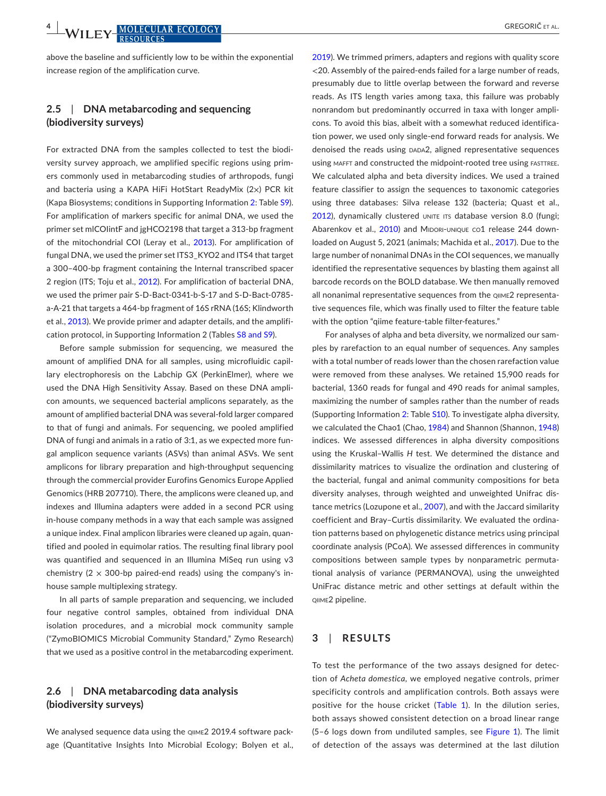above the baseline and sufficiently low to be within the exponential increase region of the amplification curve.

## **2.5**  | **DNA metabarcoding and sequencing (biodiversity surveys)**

For extracted DNA from the samples collected to test the biodiversity survey approach, we amplified specific regions using primers commonly used in metabarcoding studies of arthropods, fungi and bacteria using a KAPA HiFi HotStart ReadyMix (2×) PCR kit (Kapa Biosystems; conditions in Supporting Information [2:](#page-11-10) Table [S9](#page-11-10)). For amplification of markers specific for animal DNA, we used the primer set mlCOIintF and jgHCO2198 that target a 313-bp fragment of the mitochondrial COI (Leray et al., [2013](#page-10-8)). For amplification of fungal DNA, we used the primer set ITS3\_KYO2 and ITS4 that target a 300–400-bp fragment containing the Internal transcribed spacer 2 region (ITS; Toju et al., [2012\)](#page-11-11). For amplification of bacterial DNA, we used the primer pair S-D-Bact-0341-b-S-17 and S-D-Bact-0785 a-A-21 that targets a 464-bp fragment of 16S rRNA (16S; Klindworth et al., [2013](#page-10-9)). We provide primer and adapter details, and the amplification protocol, in Supporting Information 2 (Tables [S8 and S9](#page-11-10)).

Before sample submission for sequencing, we measured the amount of amplified DNA for all samples, using microfluidic capillary electrophoresis on the Labchip GX (PerkinElmer), where we used the DNA High Sensitivity Assay. Based on these DNA amplicon amounts, we sequenced bacterial amplicons separately, as the amount of amplified bacterial DNA was several-fold larger compared to that of fungi and animals. For sequencing, we pooled amplified DNA of fungi and animals in a ratio of 3:1, as we expected more fungal amplicon sequence variants (ASVs) than animal ASVs. We sent amplicons for library preparation and high-throughput sequencing through the commercial provider Eurofins Genomics Europe Applied Genomics (HRB 207710). There, the amplicons were cleaned up, and indexes and Illumina adapters were added in a second PCR using in-house company methods in a way that each sample was assigned a unique index. Final amplicon libraries were cleaned up again, quantified and pooled in equimolar ratios. The resulting final library pool was quantified and sequenced in an Illumina MiSeq run using v3 chemistry ( $2 \times 300$ -bp paired-end reads) using the company's inhouse sample multiplexing strategy.

In all parts of sample preparation and sequencing, we included four negative control samples, obtained from individual DNA isolation procedures, and a microbial mock community sample ("ZymoBIOMICS Microbial Community Standard," Zymo Research) that we used as a positive control in the metabarcoding experiment.

## **2.6**  | **DNA metabarcoding data analysis (biodiversity surveys)**

We analysed sequence data using the QIIME2 2019.4 software package (Quantitative Insights Into Microbial Ecology; Bolyen et al.,

[2019](#page-8-5)). We trimmed primers, adapters and regions with quality score <20. Assembly of the paired-ends failed for a large number of reads, presumably due to little overlap between the forward and reverse reads. As ITS length varies among taxa, this failure was probably nonrandom but predominantly occurred in taxa with longer amplicons. To avoid this bias, albeit with a somewhat reduced identification power, we used only single-end forward reads for analysis. We denoised the reads using DADA2, aligned representative sequences using MAFFT and constructed the midpoint-rooted tree using FASTTREE. We calculated alpha and beta diversity indices. We used a trained feature classifier to assign the sequences to taxonomic categories using three databases: Silva release 132 (bacteria; Quast et al., [2012\)](#page-10-10), dynamically clustered UNITE ITS database version 8.0 (fungi; Abarenkov et al., [2010](#page-8-6)) and MIDORI-UNIQUE co1 release 244 downloaded on August 5, 2021 (animals; Machida et al., [2017\)](#page-10-11). Due to the large number of nonanimal DNAs in the COI sequences, we manually identified the representative sequences by blasting them against all barcode records on the BOLD database. We then manually removed all nonanimal representative sequences from the QIIME2 representative sequences file, which was finally used to filter the feature table with the option "qiime feature-table filter-features."

For analyses of alpha and beta diversity, we normalized our samples by rarefaction to an equal number of sequences. Any samples with a total number of reads lower than the chosen rarefaction value were removed from these analyses. We retained 15,900 reads for bacterial, 1360 reads for fungal and 490 reads for animal samples, maximizing the number of samples rather than the number of reads (Supporting Information [2:](#page-11-10) Table [S10](#page-11-10)). To investigate alpha diversity, we calculated the Chao1 (Chao, [1984](#page-9-15)) and Shannon (Shannon, [1948\)](#page-10-12) indices. We assessed differences in alpha diversity compositions using the Kruskal–Wallis *H* test. We determined the distance and dissimilarity matrices to visualize the ordination and clustering of the bacterial, fungal and animal community compositions for beta diversity analyses, through weighted and unweighted Unifrac distance metrics (Lozupone et al., [2007\)](#page-10-13), and with the Jaccard similarity coefficient and Bray–Curtis dissimilarity. We evaluated the ordination patterns based on phylogenetic distance metrics using principal coordinate analysis (PCoA). We assessed differences in community compositions between sample types by nonparametric permutational analysis of variance (PERMANOVA), using the unweighted UniFrac distance metric and other settings at default within the qiime2 pipeline.

#### **3**  | **RESULTS**

To test the performance of the two assays designed for detection of *Acheta domestica*, we employed negative controls, primer specificity controls and amplification controls. Both assays were positive for the house cricket (Table [1\)](#page-2-0). In the dilution series, both assays showed consistent detection on a broad linear range (5–6 logs down from undiluted samples, see Figure [1](#page-4-0)). The limit of detection of the assays was determined at the last dilution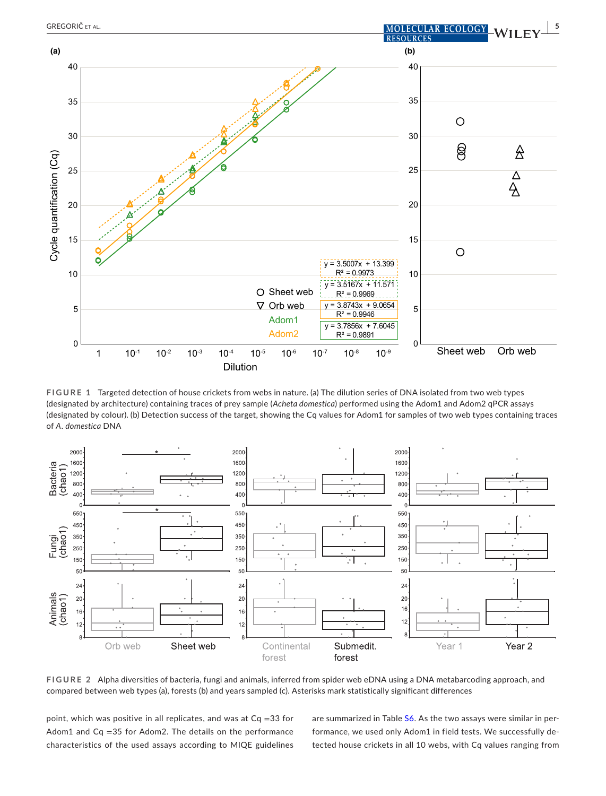

<span id="page-4-0"></span>**FIGURE 1** Targeted detection of house crickets from webs in nature. (a) The dilution series of DNA isolated from two web types (designated by architecture) containing traces of prey sample (*Acheta domestica*) performed using the Adom1 and Adom2 qPCR assays (designated by colour). (b) Detection success of the target, showing the Cq values for Adom1 for samples of two web types containing traces of *A*. *domestica* DNA



<span id="page-4-1"></span>**FIGURE 2** Alpha diversities of bacteria, fungi and animals, inferred from spider web eDNA using a DNA metabarcoding approach, and compared between web types (a), forests (b) and years sampled (c). Asterisks mark statistically significant differences

point, which was positive in all replicates, and was at Cq =33 for Adom1 and  $Cq = 35$  for Adom2. The details on the performance characteristics of the used assays according to MIQE guidelines are summarized in Table [S6](#page-11-10). As the two assays were similar in performance, we used only Adom1 in field tests. We successfully detected house crickets in all 10 webs, with Cq values ranging from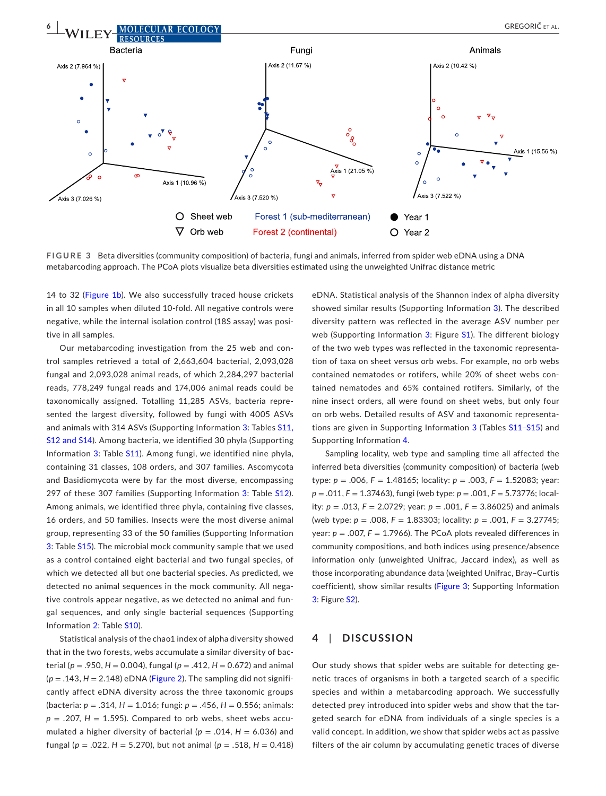

<span id="page-5-0"></span>**FIGURE 3** Beta diversities (community composition) of bacteria, fungi and animals, inferred from spider web eDNA using a DNA metabarcoding approach. The PCoA plots visualize beta diversities estimated using the unweighted Unifrac distance metric

14 to 32 (Figure [1b](#page-4-0)). We also successfully traced house crickets in all 10 samples when diluted 10-fold. All negative controls were negative, while the internal isolation control (18S assay) was positive in all samples.

Our metabarcoding investigation from the 25 web and control samples retrieved a total of 2,663,604 bacterial, 2,093,028 fungal and 2,093,028 animal reads, of which 2,284,297 bacterial reads, 778,249 fungal reads and 174,006 animal reads could be taxonomically assigned. Totalling 11,285 ASVs, bacteria represented the largest diversity, followed by fungi with 4005 ASVs and animals with 314 ASVs (Supporting Information [3](#page-11-10): Tables [S11,](#page-11-10) [S12 and S14](#page-11-10)). Among bacteria, we identified 30 phyla (Supporting Information [3](#page-11-10): Table [S11](#page-11-10)). Among fungi, we identified nine phyla, containing 31 classes, 108 orders, and 307 families. Ascomycota and Basidiomycota were by far the most diverse, encompassing 297 of these [3](#page-11-10)07 families (Supporting Information 3: Table [S12](#page-11-10)). Among animals, we identified three phyla, containing five classes, 16 orders, and 50 families. Insects were the most diverse animal group, representing 33 of the 50 families (Supporting Information [3](#page-11-10): Table [S15](#page-11-10)). The microbial mock community sample that we used as a control contained eight bacterial and two fungal species, of which we detected all but one bacterial species. As predicted, we detected no animal sequences in the mock community. All negative controls appear negative, as we detected no animal and fungal sequences, and only single bacterial sequences (Supporting Information [2](#page-11-10): Table [S10](#page-11-10)).

Statistical analysis of the chao1 index of alpha diversity showed that in the two forests, webs accumulate a similar diversity of bacterial ( $p = .950$ ,  $H = 0.004$ ), fungal ( $p = .412$ ,  $H = 0.672$ ) and animal  $(p = .143, H = 2.148)$  $(p = .143, H = 2.148)$  $(p = .143, H = 2.148)$  eDNA (Figure 2). The sampling did not significantly affect eDNA diversity across the three taxonomic groups (bacteria: *p* = .314, *H* = 1.016; fungi: *p* = .456, *H* = 0.556; animals:  $p = .207$ ,  $H = 1.595$ ). Compared to orb webs, sheet webs accumulated a higher diversity of bacterial ( $p = .014$ ,  $H = 6.036$ ) and fungal (*p* = .022, *H* = 5.270), but not animal (*p* = .518, *H* = 0.418)

eDNA. Statistical analysis of the Shannon index of alpha diversity showed similar results (Supporting Information [3](#page-11-10)). The described diversity pattern was reflected in the average ASV number per web (Supporting Information [3](#page-11-10): Figure [S1\)](#page-11-10). The different biology of the two web types was reflected in the taxonomic representation of taxa on sheet versus orb webs. For example, no orb webs contained nematodes or rotifers, while 20% of sheet webs contained nematodes and 65% contained rotifers. Similarly, of the nine insect orders, all were found on sheet webs, but only four on orb webs. Detailed results of ASV and taxonomic representations are given in Supporting Information [3](#page-11-10) (Tables [S11–S15](#page-11-10)) and Supporting Information [4.](#page-11-10)

Sampling locality, web type and sampling time all affected the inferred beta diversities (community composition) of bacteria (web type:  $p = .006$ ,  $F = 1.48165$ ; locality:  $p = .003$ ,  $F = 1.52083$ ; year: *p* = .011, *F* = 1.37463), fungi (web type: *p* = .001, *F* = 5.73776; locality: *p* = .013, *F* = 2.0729; year: *p* = .001, *F* = 3.86025) and animals (web type: *p* = .008, *F* = 1.83303; locality: *p* = .001, *F* = 3.27745; year:  $p = 0.007$ ,  $F = 1.7966$ ). The PCoA plots revealed differences in community compositions, and both indices using presence/absence information only (unweighted Unifrac, Jaccard index), as well as those incorporating abundance data (weighted Unifrac, Bray–Curtis coefficient), show similar results (Figure [3](#page-5-0); Supporting Information [3](#page-11-10): Figure [S2](#page-11-10)).

#### **4**  | **DISCUSSION**

Our study shows that spider webs are suitable for detecting genetic traces of organisms in both a targeted search of a specific species and within a metabarcoding approach. We successfully detected prey introduced into spider webs and show that the targeted search for eDNA from individuals of a single species is a valid concept. In addition, we show that spider webs act as passive filters of the air column by accumulating genetic traces of diverse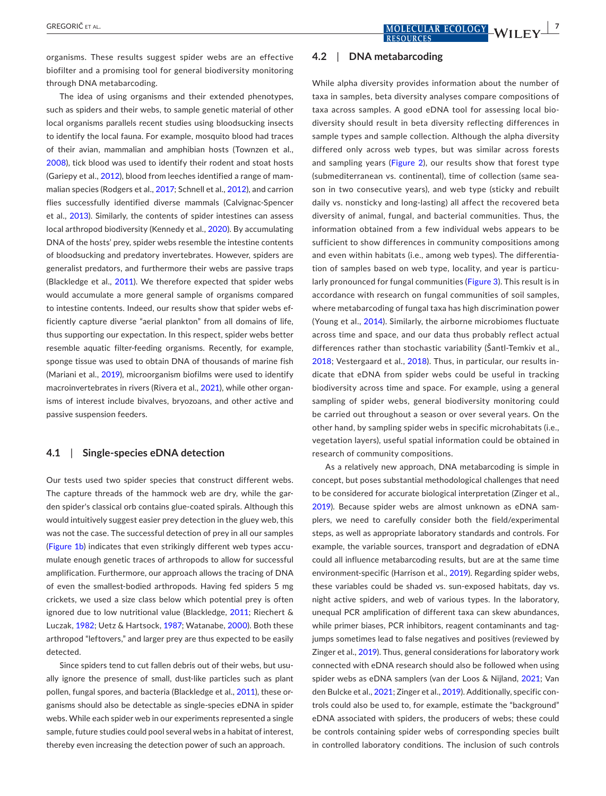organisms. These results suggest spider webs are an effective biofilter and a promising tool for general biodiversity monitoring through DNA metabarcoding.

The idea of using organisms and their extended phenotypes, such as spiders and their webs, to sample genetic material of other local organisms parallels recent studies using bloodsucking insects to identify the local fauna. For example, mosquito blood had traces of their avian, mammalian and amphibian hosts (Townzen et al., [2008\)](#page-11-12), tick blood was used to identify their rodent and stoat hosts (Gariepy et al., [2012\)](#page-9-16), blood from leeches identified a range of mammalian species (Rodgers et al., [2017](#page-10-14); Schnell et al., [2012](#page-10-15)), and carrion flies successfully identified diverse mammals (Calvignac-Spencer et al., [2013](#page-9-17)). Similarly, the contents of spider intestines can assess local arthropod biodiversity (Kennedy et al., [2020](#page-9-18)). By accumulating DNA of the hosts' prey, spider webs resemble the intestine contents of bloodsucking and predatory invertebrates. However, spiders are generalist predators, and furthermore their webs are passive traps (Blackledge et al., [2011](#page-8-3)). We therefore expected that spider webs would accumulate a more general sample of organisms compared to intestine contents. Indeed, our results show that spider webs efficiently capture diverse "aerial plankton" from all domains of life, thus supporting our expectation. In this respect, spider webs better resemble aquatic filter-feeding organisms. Recently, for example, sponge tissue was used to obtain DNA of thousands of marine fish (Mariani et al., [2019\)](#page-10-16), microorganism biofilms were used to identify macroinvertebrates in rivers (Rivera et al., [2021\)](#page-10-17), while other organisms of interest include bivalves, bryozoans, and other active and passive suspension feeders.

#### **4.1**  | **Single-species eDNA detection**

Our tests used two spider species that construct different webs. The capture threads of the hammock web are dry, while the garden spider's classical orb contains glue-coated spirals. Although this would intuitively suggest easier prey detection in the gluey web, this was not the case. The successful detection of prey in all our samples (Figure [1b](#page-4-0)) indicates that even strikingly different web types accumulate enough genetic traces of arthropods to allow for successful amplification. Furthermore, our approach allows the tracing of DNA of even the smallest-bodied arthropods. Having fed spiders 5 mg crickets, we used a size class below which potential prey is often ignored due to low nutritional value (Blackledge, [2011](#page-8-7); Riechert & Luczak, [1982;](#page-10-18) Uetz & Hartsock, [1987;](#page-11-13) Watanabe, [2000](#page-11-14)). Both these arthropod "leftovers," and larger prey are thus expected to be easily detected.

Since spiders tend to cut fallen debris out of their webs, but usually ignore the presence of small, dust-like particles such as plant pollen, fungal spores, and bacteria (Blackledge et al., [2011\)](#page-8-3), these organisms should also be detectable as single-species eDNA in spider webs. While each spider web in our experiments represented a single sample, future studies could pool several webs in a habitat of interest, thereby even increasing the detection power of such an approach.

#### **4.2**  | **DNA metabarcoding**

While alpha diversity provides information about the number of taxa in samples, beta diversity analyses compare compositions of taxa across samples. A good eDNA tool for assessing local biodiversity should result in beta diversity reflecting differences in sample types and sample collection. Although the alpha diversity differed only across web types, but was similar across forests and sampling years (Figure [2\)](#page-4-1), our results show that forest type (submediterranean vs. continental), time of collection (same season in two consecutive years), and web type (sticky and rebuilt daily vs. nonsticky and long-lasting) all affect the recovered beta diversity of animal, fungal, and bacterial communities. Thus, the information obtained from a few individual webs appears to be sufficient to show differences in community compositions among and even within habitats (i.e., among web types). The differentiation of samples based on web type, locality, and year is particularly pronounced for fungal communities (Figure [3](#page-5-0)). This result is in accordance with research on fungal communities of soil samples, where metabarcoding of fungal taxa has high discrimination power (Young et al., [2014](#page-11-15)). Similarly, the airborne microbiomes fluctuate across time and space, and our data thus probably reflect actual differences rather than stochastic variability (Šantl-Temkiv et al., [2018;](#page-10-19) Vestergaard et al., [2018\)](#page-11-16). Thus, in particular, our results indicate that eDNA from spider webs could be useful in tracking biodiversity across time and space. For example, using a general sampling of spider webs, general biodiversity monitoring could be carried out throughout a season or over several years. On the other hand, by sampling spider webs in specific microhabitats (i.e., vegetation layers), useful spatial information could be obtained in research of community compositions.

As a relatively new approach, DNA metabarcoding is simple in concept, but poses substantial methodological challenges that need to be considered for accurate biological interpretation (Zinger et al., [2019](#page-11-17)). Because spider webs are almost unknown as eDNA samplers, we need to carefully consider both the field/experimental steps, as well as appropriate laboratory standards and controls. For example, the variable sources, transport and degradation of eDNA could all influence metabarcoding results, but are at the same time environment-specific (Harrison et al., [2019](#page-9-19)). Regarding spider webs, these variables could be shaded vs. sun-exposed habitats, day vs. night active spiders, and web of various types. In the laboratory, unequal PCR amplification of different taxa can skew abundances, while primer biases, PCR inhibitors, reagent contaminants and tagjumps sometimes lead to false negatives and positives (reviewed by Zinger et al., [2019\)](#page-11-17). Thus, general considerations for laboratory work connected with eDNA research should also be followed when using spider webs as eDNA samplers (van der Loos & Nijland, [2021](#page-11-18); Van den Bulcke et al., [2021](#page-11-19); Zinger et al., [2019\)](#page-11-17). Additionally, specific controls could also be used to, for example, estimate the "background" eDNA associated with spiders, the producers of webs; these could be controls containing spider webs of corresponding species built in controlled laboratory conditions. The inclusion of such controls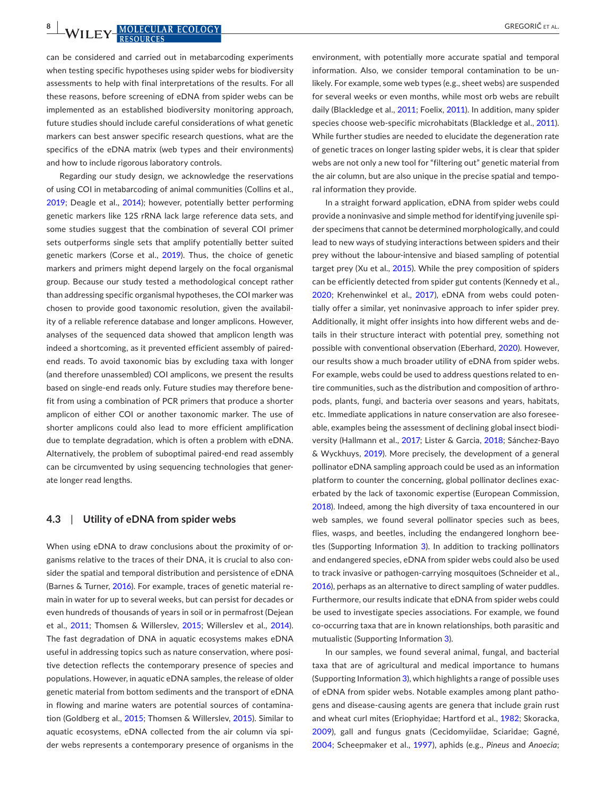**8 | MOLECULAR ECOLOGY** *COLOGY COLOGY GREGORIC ET AL.* 

can be considered and carried out in metabarcoding experiments when testing specific hypotheses using spider webs for biodiversity assessments to help with final interpretations of the results. For all these reasons, before screening of eDNA from spider webs can be implemented as an established biodiversity monitoring approach, future studies should include careful considerations of what genetic markers can best answer specific research questions, what are the specifics of the eDNA matrix (web types and their environments) and how to include rigorous laboratory controls.

Regarding our study design, we acknowledge the reservations of using COI in metabarcoding of animal communities (Collins et al., [2019](#page-9-20); Deagle et al., [2014\)](#page-9-21); however, potentially better performing genetic markers like 12S rRNA lack large reference data sets, and some studies suggest that the combination of several COI primer sets outperforms single sets that amplify potentially better suited genetic markers (Corse et al., [2019\)](#page-9-13). Thus, the choice of genetic markers and primers might depend largely on the focal organismal group. Because our study tested a methodological concept rather than addressing specific organismal hypotheses, the COI marker was chosen to provide good taxonomic resolution, given the availability of a reliable reference database and longer amplicons. However, analyses of the sequenced data showed that amplicon length was indeed a shortcoming, as it prevented efficient assembly of pairedend reads. To avoid taxonomic bias by excluding taxa with longer (and therefore unassembled) COI amplicons, we present the results based on single-end reads only. Future studies may therefore benefit from using a combination of PCR primers that produce a shorter amplicon of either COI or another taxonomic marker. The use of shorter amplicons could also lead to more efficient amplification due to template degradation, which is often a problem with eDNA. Alternatively, the problem of suboptimal paired-end read assembly can be circumvented by using sequencing technologies that generate longer read lengths.

#### **4.3**  | **Utility of eDNA from spider webs**

When using eDNA to draw conclusions about the proximity of organisms relative to the traces of their DNA, it is crucial to also consider the spatial and temporal distribution and persistence of eDNA (Barnes & Turner, [2016](#page-8-8)). For example, traces of genetic material remain in water for up to several weeks, but can persist for decades or even hundreds of thousands of years in soil or in permafrost (Dejean et al., [2011;](#page-9-6) Thomsen & Willerslev, [2015;](#page-11-0) Willerslev et al., [2014](#page-11-3)). The fast degradation of DNA in aquatic ecosystems makes eDNA useful in addressing topics such as nature conservation, where positive detection reflects the contemporary presence of species and populations. However, in aquatic eDNA samples, the release of older genetic material from bottom sediments and the transport of eDNA in flowing and marine waters are potential sources of contamination (Goldberg et al., [2015;](#page-9-3) Thomsen & Willerslev, [2015\)](#page-11-0). Similar to aquatic ecosystems, eDNA collected from the air column via spider webs represents a contemporary presence of organisms in the

environment, with potentially more accurate spatial and temporal information. Also, we consider temporal contamination to be unlikely. For example, some web types (e.g., sheet webs) are suspended for several weeks or even months, while most orb webs are rebuilt daily (Blackledge et al., [2011;](#page-8-3) Foelix, [2011](#page-9-14)). In addition, many spider species choose web-specific microhabitats (Blackledge et al., [2011\)](#page-8-3). While further studies are needed to elucidate the degeneration rate of genetic traces on longer lasting spider webs, it is clear that spider webs are not only a new tool for "filtering out" genetic material from the air column, but are also unique in the precise spatial and temporal information they provide.

In a straight forward application, eDNA from spider webs could provide a noninvasive and simple method for identifying juvenile spider specimens that cannot be determined morphologically, and could lead to new ways of studying interactions between spiders and their prey without the labour-intensive and biased sampling of potential target prey (Xu et al., [2015\)](#page-11-9). While the prey composition of spiders can be efficiently detected from spider gut contents (Kennedy et al., [2020;](#page-9-18) Krehenwinkel et al., [2017\)](#page-10-20), eDNA from webs could potentially offer a similar, yet noninvasive approach to infer spider prey. Additionally, it might offer insights into how different webs and details in their structure interact with potential prey, something not possible with conventional observation (Eberhard, [2020\)](#page-9-22). However, our results show a much broader utility of eDNA from spider webs. For example, webs could be used to address questions related to entire communities, such as the distribution and composition of arthropods, plants, fungi, and bacteria over seasons and years, habitats, etc. Immediate applications in nature conservation are also foreseeable, examples being the assessment of declining global insect biodiversity (Hallmann et al., [2017;](#page-9-23) Lister & Garcia, [2018](#page-10-21); Sánchez-Bayo & Wyckhuys, [2019](#page-10-22)). More precisely, the development of a general pollinator eDNA sampling approach could be used as an information platform to counter the concerning, global pollinator declines exacerbated by the lack of taxonomic expertise (European Commission, [2018](#page-9-24)). Indeed, among the high diversity of taxa encountered in our web samples, we found several pollinator species such as bees, flies, wasps, and beetles, including the endangered longhorn beetles (Supporting Information [3](#page-11-10)). In addition to tracking pollinators and endangered species, eDNA from spider webs could also be used to track invasive or pathogen-carrying mosquitoes (Schneider et al., [2016](#page-10-23)), perhaps as an alternative to direct sampling of water puddles. Furthermore, our results indicate that eDNA from spider webs could be used to investigate species associations. For example, we found co-occurring taxa that are in known relationships, both parasitic and mutualistic (Supporting Information [3](#page-11-10)).

In our samples, we found several animal, fungal, and bacterial taxa that are of agricultural and medical importance to humans (Supporting Information [3](#page-11-10)), which highlights a range of possible uses of eDNA from spider webs. Notable examples among plant pathogens and disease-causing agents are genera that include grain rust and wheat curl mites (Eriophyidae; Hartford et al., [1982](#page-9-25); Skoracka, [2009](#page-10-24)), gall and fungus gnats (Cecidomyiidae, Sciaridae; Gagné, [2004](#page-9-26); Scheepmaker et al., [1997\)](#page-10-25), aphids (e.g., *Pineus* and *Anoecia*;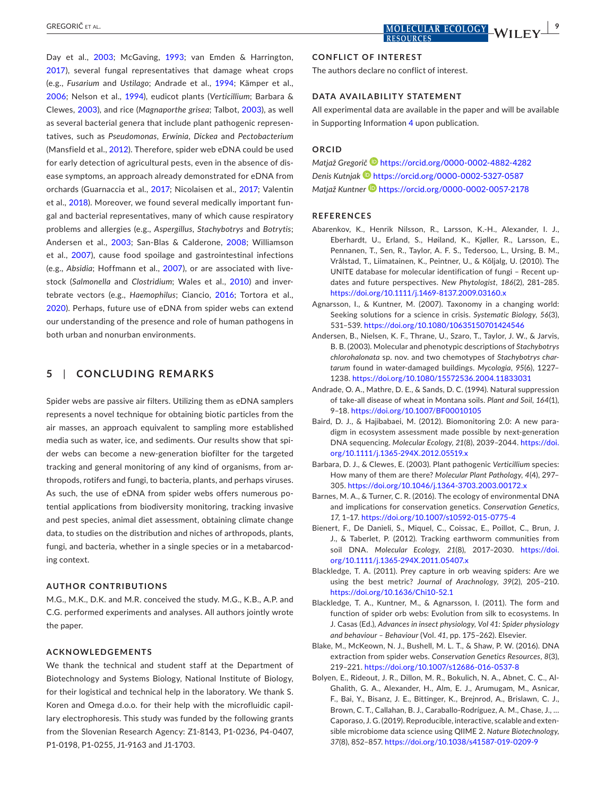Day et al., [2003](#page-9-27); McGaving, [1993](#page-10-26); van Emden & Harrington, [2017](#page-11-20)), several fungal representatives that damage wheat crops (e.g., *Fusarium* and *Ustilago*; Andrade et al., [1994;](#page-8-9) Kämper et al., [2006](#page-9-28); Nelson et al., [1994](#page-10-27)), eudicot plants (*Verticillium*; Barbara & Clewes, [2003](#page-8-10)), and rice (*Magnaporthe grisea*; Talbot, [2003](#page-11-21)), as well as several bacterial genera that include plant pathogenic representatives, such as *Pseudomonas*, *Erwinia*, *Dickea* and *Pectobacterium* (Mansfield et al., [2012](#page-10-28)). Therefore, spider web eDNA could be used for early detection of agricultural pests, even in the absence of disease symptoms, an approach already demonstrated for eDNA from orchards (Guarnaccia et al., [2017;](#page-9-29) Nicolaisen et al., [2017](#page-10-29); Valentin et al., [2018\)](#page-11-22). Moreover, we found several medically important fungal and bacterial representatives, many of which cause respiratory problems and allergies (e.g., *Aspergillus*, *Stachybotrys* and *Botrytis*; Andersen et al., [2003](#page-8-11); San-Blas & Calderone, [2008](#page-10-30); Williamson et al., [2007\)](#page-11-23), cause food spoilage and gastrointestinal infections (e.g., *Absidia*; Hoffmann et al., [2007\)](#page-9-30), or are associated with livestock (*Salmonella* and *Clostridium*; Wales et al., [2010\)](#page-11-24) and invertebrate vectors (e.g., *Haemophilus*; Ciancio, [2016](#page-9-31); Tortora et al., [2020](#page-11-25)). Perhaps, future use of eDNA from spider webs can extend our understanding of the presence and role of human pathogens in both urban and nonurban environments.

#### **5**  | **CONCLUDING REMARKS**

Spider webs are passive air filters. Utilizing them as eDNA samplers represents a novel technique for obtaining biotic particles from the air masses, an approach equivalent to sampling more established media such as water, ice, and sediments. Our results show that spider webs can become a new-generation biofilter for the targeted tracking and general monitoring of any kind of organisms, from arthropods, rotifers and fungi, to bacteria, plants, and perhaps viruses. As such, the use of eDNA from spider webs offers numerous potential applications from biodiversity monitoring, tracking invasive and pest species, animal diet assessment, obtaining climate change data, to studies on the distribution and niches of arthropods, plants, fungi, and bacteria, whether in a single species or in a metabarcoding context.

#### **AUTHOR CONTRIBUTIONS**

M.G., M.K., D.K. and M.R. conceived the study. M.G., K.B., A.P. and C.G. performed experiments and analyses. All authors jointly wrote the paper.

#### **ACKNOWLEDGEMENTS**

We thank the technical and student staff at the Department of Biotechnology and Systems Biology, National Institute of Biology, for their logistical and technical help in the laboratory. We thank S. Koren and Omega d.o.o. for their help with the microfluidic capillary electrophoresis. This study was funded by the following grants from the Slovenian Research Agency: Z1-8143, P1-0236, P4-0407, P1-0198, P1-0255, J1-9163 and J1-1703.

The authors declare no conflict of interest.

#### **DATA AVAILABILITY STATEMENT**

All experimental data are available in the paper and will be available in Supporting Information [4](#page-11-10) upon publication.

#### **ORCID**

*Matjaž Gregorič* <https://orcid.org/0000-0002-4882-4282> *Denis Kutnja[k](https://orcid.org/0000-0002-5327-0587)* <https://orcid.org/0000-0002-5327-0587> *Matjaž Kuntner* <https://orcid.org/0000-0002-0057-2178>

#### **REFERENCES**

- <span id="page-8-6"></span>Abarenkov, K., Henrik Nilsson, R., Larsson, K.-H., Alexander, I. J., Eberhardt, U., Erland, S., Høiland, K., Kjøller, R., Larsson, E., Pennanen, T., Sen, R., Taylor, A. F. S., Tedersoo, L., Ursing, B. M., Vrålstad, T., Liimatainen, K., Peintner, U., & Kõljalg, U. (2010). The UNITE database for molecular identification of fungi – Recent updates and future perspectives. *New Phytologist*, *186*(2), 281–285. <https://doi.org/10.1111/j.1469-8137.2009.03160.x>
- <span id="page-8-0"></span>Agnarsson, I., & Kuntner, M. (2007). Taxonomy in a changing world: Seeking solutions for a science in crisis. *Systematic Biology*, *56*(3), 531–539. <https://doi.org/10.1080/10635150701424546>
- <span id="page-8-11"></span>Andersen, B., Nielsen, K. F., Thrane, U., Szaro, T., Taylor, J. W., & Jarvis, B. B. (2003). Molecular and phenotypic descriptions of *Stachybotrys chlorohalonata* sp. nov. and two chemotypes of *Stachybotrys chartarum* found in water-damaged buildings. *Mycologia*, *95*(6), 1227– 1238.<https://doi.org/10.1080/15572536.2004.11833031>
- <span id="page-8-9"></span>Andrade, O. A., Mathre, D. E., & Sands, D. C. (1994). Natural suppression of take-all disease of wheat in Montana soils. *Plant and Soil*, *164*(1), 9–18.<https://doi.org/10.1007/BF00010105>
- <span id="page-8-1"></span>Baird, D. J., & Hajibabaei, M. (2012). Biomonitoring 2.0: A new paradigm in ecosystem assessment made possible by next-generation DNA sequencing. *Molecular Ecology*, *21*(8), 2039–2044. [https://doi.](https://doi.org/10.1111/j.1365-294X.2012.05519.x) [org/10.1111/j.1365-294X.2012.05519.x](https://doi.org/10.1111/j.1365-294X.2012.05519.x)
- <span id="page-8-10"></span>Barbara, D. J., & Clewes, E. (2003). Plant pathogenic *Verticillium* species: How many of them are there? *Molecular Plant Pathology*, *4*(4), 297– 305. <https://doi.org/10.1046/j.1364-3703.2003.00172.x>
- <span id="page-8-8"></span>Barnes, M. A., & Turner, C. R. (2016). The ecology of environmental DNA and implications for conservation genetics. *Conservation Genetics*, *17*, 1–17.<https://doi.org/10.1007/s10592-015-0775-4>
- <span id="page-8-2"></span>Bienert, F., De Danieli, S., Miquel, C., Coissac, E., Poillot, C., Brun, J. J., & Taberlet, P. (2012). Tracking earthworm communities from soil DNA. *Molecular Ecology*, *21*(8), 2017–2030. [https://doi.](https://doi.org/10.1111/j.1365-294X.2011.05407.x) [org/10.1111/j.1365-294X.2011.05407.x](https://doi.org/10.1111/j.1365-294X.2011.05407.x)
- <span id="page-8-7"></span>Blackledge, T. A. (2011). Prey capture in orb weaving spiders: Are we using the best metric? *Journal of Arachnology*, *39*(2), 205–210. <https://doi.org/10.1636/Chi10-52.1>
- <span id="page-8-3"></span>Blackledge, T. A., Kuntner, M., & Agnarsson, I. (2011). The form and function of spider orb webs: Evolution from silk to ecosystems. In J. Casas (Ed.), *Advances in insect physiology, Vol 41: Spider physiology and behaviour – Behaviour* (Vol. *41*, pp. 175–262). Elsevier.
- <span id="page-8-4"></span>Blake, M., McKeown, N. J., Bushell, M. L. T., & Shaw, P. W. (2016). DNA extraction from spider webs. *Conservation Genetics Resources*, *8*(3), 219–221. <https://doi.org/10.1007/s12686-016-0537-8>
- <span id="page-8-5"></span>Bolyen, E., Rideout, J. R., Dillon, M. R., Bokulich, N. A., Abnet, C. C., Al-Ghalith, G. A., Alexander, H., Alm, E. J., Arumugam, M., Asnicar, F., Bai, Y., Bisanz, J. E., Bittinger, K., Brejnrod, A., Brislawn, C. J., Brown, C. T., Callahan, B. J., Caraballo-Rodríguez, A. M., Chase, J., … Caporaso, J. G. (2019). Reproducible, interactive, scalable and extensible microbiome data science using QIIME 2. *Nature Biotechnology*, *37*(8), 852–857. <https://doi.org/10.1038/s41587-019-0209-9>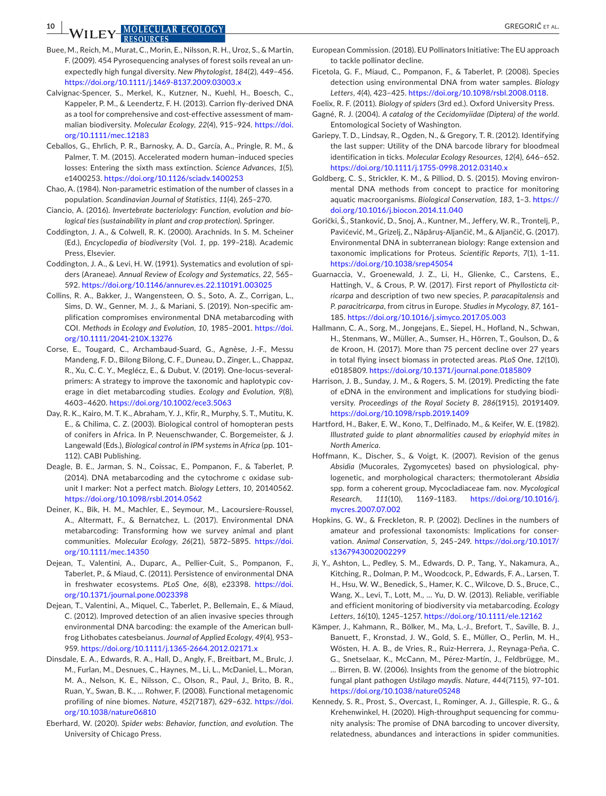**10 | IA/II FIX MOLECULAR ECOLOGY** *COLOGY* 

- <span id="page-9-8"></span>Buee, M., Reich, M., Murat, C., Morin, E., Nilsson, R. H., Uroz, S., & Martin, F. (2009). 454 Pyrosequencing analyses of forest soils reveal an unexpectedly high fungal diversity. *New Phytologist*, *184*(2), 449–456. <https://doi.org/10.1111/j.1469-8137.2009.03003.x>
- <span id="page-9-17"></span>Calvignac-Spencer, S., Merkel, K., Kutzner, N., Kuehl, H., Boesch, C., Kappeler, P. M., & Leendertz, F. H. (2013). Carrion fly-derived DNA as a tool for comprehensive and cost-effective assessment of mammalian biodiversity. *Molecular Ecology*, *22*(4), 915–924. [https://doi.](https://doi.org/10.1111/mec.12183) [org/10.1111/mec.12183](https://doi.org/10.1111/mec.12183)
- <span id="page-9-0"></span>Ceballos, G., Ehrlich, P. R., Barnosky, A. D., García, A., Pringle, R. M., & Palmer, T. M. (2015). Accelerated modern human–induced species losses: Entering the sixth mass extinction. *Science Advances*, *1*(5), e1400253.<https://doi.org/10.1126/sciadv.1400253>
- <span id="page-9-15"></span>Chao, A. (1984). Non-parametric estimation of the number of classes in a population. *Scandinavian Journal of Statistics*, *11*(4), 265–270.
- <span id="page-9-31"></span>Ciancio, A. (2016). *Invertebrate bacteriology: Function, evolution and biological ties (sustainability in plant and crop protection)*. Springer.
- <span id="page-9-12"></span>Coddington, J. A., & Colwell, R. K. (2000). Arachnids. In S. M. Scheiner (Ed.), *Encyclopedia of biodiversity* (Vol. *1*, pp. 199–218). Academic Press, Elsevier.
- <span id="page-9-1"></span>Coddington, J. A., & Levi, H. W. (1991). Systematics and evolution of spiders (Araneae). *Annual Review of Ecology and Systematics*, *22*, 565– 592. <https://doi.org/10.1146/annurev.es.22.110191.003025>
- <span id="page-9-20"></span>Collins, R. A., Bakker, J., Wangensteen, O. S., Soto, A. Z., Corrigan, L., Sims, D. W., Genner, M. J., & Mariani, S. (2019). Non-specific amplification compromises environmental DNA metabarcoding with COI. *Methods in Ecology and Evolution*, *10*, 1985–2001. [https://doi.](https://doi.org/10.1111/2041-210X.13276) [org/10.1111/2041-210X.13276](https://doi.org/10.1111/2041-210X.13276)
- <span id="page-9-13"></span>Corse, E., Tougard, C., Archambaud-Suard, G., Agnèse, J.-F., Messu Mandeng, F. D., Bilong Bilong, C. F., Duneau, D., Zinger, L., Chappaz, R., Xu, C. C. Y., Meglécz, E., & Dubut, V. (2019). One-locus-severalprimers: A strategy to improve the taxonomic and haplotypic coverage in diet metabarcoding studies. *Ecology and Evolution*, *9*(8), 4603–4620. <https://doi.org/10.1002/ece3.5063>
- <span id="page-9-27"></span>Day, R. K., Kairo, M. T. K., Abraham, Y. J., Kfir, R., Murphy, S. T., Mutitu, K. E., & Chilima, C. Z. (2003). Biological control of homopteran pests of conifers in Africa. In P. Neuenschwander, C. Borgemeister, & J. Langewald (Eds.), *Biological control in IPM systems in Africa* (pp. 101– 112). CABI Publishing.
- <span id="page-9-21"></span>Deagle, B. E., Jarman, S. N., Coissac, E., Pompanon, F., & Taberlet, P. (2014). DNA metabarcoding and the cytochrome c oxidase subunit I marker: Not a perfect match. *Biology Letters*, *10*, 20140562. <https://doi.org/10.1098/rsbl.2014.0562>
- <span id="page-9-4"></span>Deiner, K., Bik, H. M., Machler, E., Seymour, M., Lacoursiere-Roussel, A., Altermatt, F., & Bernatchez, L. (2017). Environmental DNA metabarcoding: Transforming how we survey animal and plant communities. *Molecular Ecology*, *26*(21), 5872–5895. [https://doi.](https://doi.org/10.1111/mec.14350) [org/10.1111/mec.14350](https://doi.org/10.1111/mec.14350)
- <span id="page-9-6"></span>Dejean, T., Valentini, A., Duparc, A., Pellier-Cuit, S., Pompanon, F., Taberlet, P., & Miaud, C. (2011). Persistence of environmental DNA in freshwater ecosystems. *PLoS One*, *6*(8), e23398. [https://doi.](https://doi.org/10.1371/journal.pone.0023398) [org/10.1371/journal.pone.0023398](https://doi.org/10.1371/journal.pone.0023398)
- <span id="page-9-10"></span>Dejean, T., Valentini, A., Miquel, C., Taberlet, P., Bellemain, E., & Miaud, C. (2012). Improved detection of an alien invasive species through environmental DNA barcoding: the example of the American bullfrog Lithobates catesbeianus. *Journal of Applied Ecology*, *49*(4), 953– 959. <https://doi.org/10.1111/j.1365-2664.2012.02171.x>
- <span id="page-9-9"></span>Dinsdale, E. A., Edwards, R. A., Hall, D., Angly, F., Breitbart, M., Brulc, J. M., Furlan, M., Desnues, C., Haynes, M., Li, L., McDaniel, L., Moran, M. A., Nelson, K. E., Nilsson, C., Olson, R., Paul, J., Brito, B. R., Ruan, Y., Swan, B. K., … Rohwer, F. (2008). Functional metagenomic profiling of nine biomes. *Nature*, *452*(7187), 629–632. [https://doi.](https://doi.org/10.1038/nature06810) [org/10.1038/nature06810](https://doi.org/10.1038/nature06810)
- <span id="page-9-22"></span>Eberhard, W. (2020). *Spider webs: Behavior, function, and evolution*. The University of Chicago Press.
- <span id="page-9-24"></span>European Commission. (2018). EU Pollinators Initiative: The EU approach to tackle pollinator decline.
- <span id="page-9-11"></span>Ficetola, G. F., Miaud, C., Pompanon, F., & Taberlet, P. (2008). Species detection using environmental DNA from water samples. *Biology Letters*, *4*(4), 423–425. <https://doi.org/10.1098/rsbl.2008.0118>.
- <span id="page-9-14"></span>Foelix, R. F. (2011). *Biology of spiders* (3rd ed.). Oxford University Press.
- <span id="page-9-26"></span>Gagné, R. J. (2004). *A catalog of the Cecidomyiidae (Diptera) of the world*. Entomological Society of Washington.
- <span id="page-9-16"></span>Gariepy, T. D., Lindsay, R., Ogden, N., & Gregory, T. R. (2012). Identifying the last supper: Utility of the DNA barcode library for bloodmeal identification in ticks. *Molecular Ecology Resources*, *12*(4), 646–652. <https://doi.org/10.1111/j.1755-0998.2012.03140.x>
- <span id="page-9-3"></span>Goldberg, C. S., Strickler, K. M., & Pilliod, D. S. (2015). Moving environmental DNA methods from concept to practice for monitoring aquatic macroorganisms. *Biological Conservation*, *183*, 1–3. [https://](https://doi.org/10.1016/j.biocon.2014.11.040) [doi.org/10.1016/j.biocon.2014.11.040](https://doi.org/10.1016/j.biocon.2014.11.040)
- <span id="page-9-5"></span>Gorički, Š., Stanković, D., Snoj, A., Kuntner, M., Jeffery, W. R., Trontelj, P., Pavićević, M., Grizelj, Z., Năpăruş-Aljančič, M., & Aljančič, G. (2017). Environmental DNA in subterranean biology: Range extension and taxonomic implications for Proteus. *Scientific Reports*, *7*(1), 1–11. <https://doi.org/10.1038/srep45054>
- <span id="page-9-29"></span>Guarnaccia, V., Groenewald, J. Z., Li, H., Glienke, C., Carstens, E., Hattingh, V., & Crous, P. W. (2017). First report of *Phyllosticta citricarpa* and description of two new species, *P. paracapitalensis* and *P. paracitricarpa*, from citrus in Europe. *Studies in Mycology*, *87*, 161– 185. <https://doi.org/10.1016/j.simyco.2017.05.003>
- <span id="page-9-23"></span>Hallmann, C. A., Sorg, M., Jongejans, E., Siepel, H., Hofland, N., Schwan, H., Stenmans, W., Müller, A., Sumser, H., Hörren, T., Goulson, D., & de Kroon, H. (2017). More than 75 percent decline over 27 years in total flying insect biomass in protected areas. *PLoS One*, *12*(10), e0185809. <https://doi.org/10.1371/journal.pone.0185809>
- <span id="page-9-19"></span>Harrison, J. B., Sunday, J. M., & Rogers, S. M. (2019). Predicting the fate of eDNA in the environment and implications for studying biodiversity. *Proceedings of the Royal Society B*, *286*(1915), 20191409. <https://doi.org/10.1098/rspb.2019.1409>
- <span id="page-9-25"></span>Hartford, H., Baker, E. W., Kono, T., Delfinado, M., & Keifer, W. E. (1982). *Illustrated guide to plant abnormalities caused by eriophyid mites in North America*.
- <span id="page-9-30"></span>Hoffmann, K., Discher, S., & Voigt, K. (2007). Revision of the genus *Absidia* (Mucorales, Zygomycetes) based on physiological, phylogenetic, and morphological characters; thermotolerant *Absidia* spp. form a coherent group, Mycocladiaceae fam. nov. *Mycological Research*, *111*(10), 1169–1183. [https://doi.org/10.1016/j.](https://doi.org/10.1016/j.mycres.2007.07.002) [mycres.2007.07.002](https://doi.org/10.1016/j.mycres.2007.07.002)
- <span id="page-9-2"></span>Hopkins, G. W., & Freckleton, R. P. (2002). Declines in the numbers of amateur and professional taxonomists: Implications for conservation. *Animal Conservation*, *5*, 245–249. [https://doi.org/10.1017/](https://doi.org/10.1017/s1367943002002299) [s1367943002002299](https://doi.org/10.1017/s1367943002002299)
- <span id="page-9-7"></span>Ji, Y., Ashton, L., Pedley, S. M., Edwards, D. P., Tang, Y., Nakamura, A., Kitching, R., Dolman, P. M., Woodcock, P., Edwards, F. A., Larsen, T. H., Hsu, W. W., Benedick, S., Hamer, K. C., Wilcove, D. S., Bruce, C., Wang, X., Levi, T., Lott, M., … Yu, D. W. (2013). Reliable, verifiable and efficient monitoring of biodiversity via metabarcoding. *Ecology Letters*, *16*(10), 1245–1257. <https://doi.org/10.1111/ele.12162>
- <span id="page-9-28"></span>Kämper, J., Kahmann, R., Bölker, M., Ma, L.-J., Brefort, T., Saville, B. J., Banuett, F., Kronstad, J. W., Gold, S. E., Müller, O., Perlin, M. H., Wösten, H. A. B., de Vries, R., Ruiz-Herrera, J., Reynaga-Peña, C. G., Snetselaar, K., McCann, M., Pérez-Martín, J., Feldbrügge, M., … Birren, B. W. (2006). Insights from the genome of the biotrophic fungal plant pathogen *Ustilago maydis*. *Nature*, *444*(7115), 97–101. <https://doi.org/10.1038/nature05248>
- <span id="page-9-18"></span>Kennedy, S. R., Prost, S., Overcast, I., Rominger, A. J., Gillespie, R. G., & Krehenwinkel, H. (2020). High-throughput sequencing for community analysis: The promise of DNA barcoding to uncover diversity, relatedness, abundances and interactions in spider communities.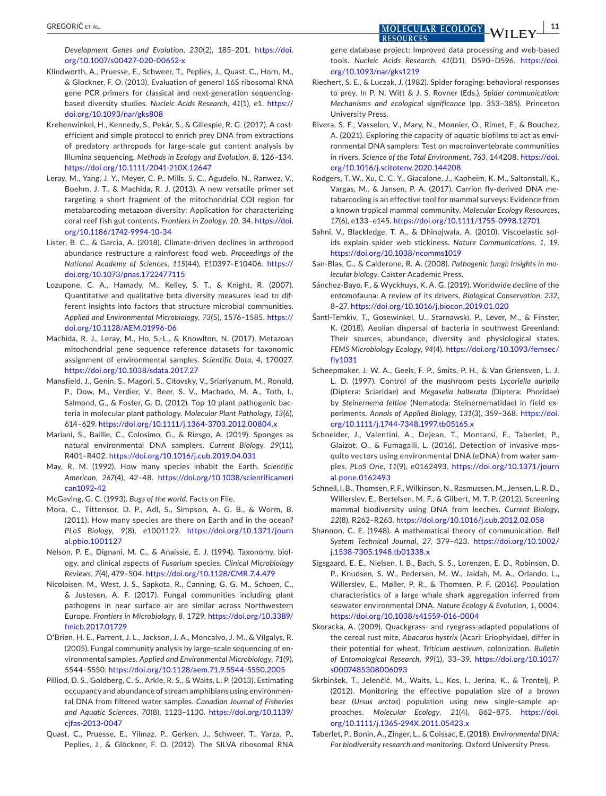*Development Genes and Evolution*, *230*(2), 185–201. [https://doi.](https://doi.org/10.1007/s00427-020-00652-x) [org/10.1007/s00427-020-00652-x](https://doi.org/10.1007/s00427-020-00652-x)

- <span id="page-10-9"></span>Klindworth, A., Pruesse, E., Schweer, T., Peplies, J., Quast, C., Horn, M., & Glockner, F. O. (2013). Evaluation of general 16S ribosomal RNA gene PCR primers for classical and next-generation sequencingbased diversity studies. *Nucleic Acids Research*, *41*(1), e1. [https://](https://doi.org/10.1093/nar/gks808) [doi.org/10.1093/nar/gks808](https://doi.org/10.1093/nar/gks808)
- <span id="page-10-20"></span>Krehenwinkel, H., Kennedy, S., Pekár, S., & Gillespie, R. G. (2017). A costefficient and simple protocol to enrich prey DNA from extractions of predatory arthropods for large-scale gut content analysis by Illumina sequencing. *Methods in Ecology and Evolution*, *8*, 126–134. <https://doi.org/10.1111/2041-210X.12647>
- <span id="page-10-8"></span>Leray, M., Yang, J. Y., Meyer, C. P., Mills, S. C., Agudelo, N., Ranwez, V., Boehm, J. T., & Machida, R. J. (2013). A new versatile primer set targeting a short fragment of the mitochondrial COI region for metabarcoding metazoan diversity: Application for characterizing coral reef fish gut contents. *Frontiers in Zoology*, *10*, 34. [https://doi.](https://doi.org/10.1186/1742-9994-10-34) [org/10.1186/1742-9994-10-34](https://doi.org/10.1186/1742-9994-10-34)
- <span id="page-10-21"></span>Lister, B. C., & Garcia, A. (2018). Climate-driven declines in arthropod abundance restructure a rainforest food web. *Proceedings of the National Academy of Sciences*, *115*(44), E10397–E10406. [https://](https://doi.org/10.1073/pnas.1722477115) [doi.org/10.1073/pnas.1722477115](https://doi.org/10.1073/pnas.1722477115)
- <span id="page-10-13"></span>Lozupone, C. A., Hamady, M., Kelley, S. T., & Knight, R. (2007). Quantitative and qualitative beta diversity measures lead to different insights into factors that structure microbial communities. *Applied and Environmental Microbiology*, *73*(5), 1576–1585. [https://](https://doi.org/10.1128/AEM.01996-06) [doi.org/10.1128/AEM.01996-06](https://doi.org/10.1128/AEM.01996-06)
- <span id="page-10-11"></span>Machida, R. J., Leray, M., Ho, S.-L., & Knowlton, N. (2017). Metazoan mitochondrial gene sequence reference datasets for taxonomic assignment of environmental samples. *Scientific Data*, *4*, 170027. <https://doi.org/10.1038/sdata.2017.27>
- <span id="page-10-28"></span>Mansfield, J., Genin, S., Magori, S., Citovsky, V., Sriariyanum, M., Ronald, P., Dow, M., Verdier, V., Beer, S. V., Machado, M. A., Toth, I., Salmond, G., & Foster, G. D. (2012). Top 10 plant pathogenic bacteria in molecular plant pathology. *Molecular Plant Pathology*, *13*(6), 614–629. <https://doi.org/10.1111/j.1364-3703.2012.00804.x>
- <span id="page-10-16"></span>Mariani, S., Baillie, C., Colosimo, G., & Riesgo, A. (2019). Sponges as natural environmental DNA samplers. *Current Biology*, *29*(11), R401–R402. <https://doi.org/10.1016/j.cub.2019.04.031>
- <span id="page-10-0"></span>May, R. M. (1992). How many species inhabit the Earth. *Scientific American*, *267*(4), 42–48. [https://doi.org/10.1038/scientificameri](https://doi.org/10.1038/scientificamerican1092-42) [can1092-42](https://doi.org/10.1038/scientificamerican1092-42)
- <span id="page-10-26"></span>McGaving, G. C. (1993). *Bugs of the world*. Facts on File.
- <span id="page-10-1"></span>Mora, C., Tittensor, D. P., Adl, S., Simpson, A. G. B., & Worm, B. (2011). How many species are there on Earth and in the ocean? *PLoS Biology*, *9*(8), e1001127. [https://doi.org/10.1371/journ](https://doi.org/10.1371/journal.pbio.1001127) [al.pbio.1001127](https://doi.org/10.1371/journal.pbio.1001127)
- <span id="page-10-27"></span>Nelson, P. E., Dignani, M. C., & Anaissie, E. J. (1994). Taxonomy, biology, and clinical aspects of *Fusarium* species. *Clinical Microbiology Reviews*, *7*(4), 479–504. <https://doi.org/10.1128/CMR.7.4.479>
- <span id="page-10-29"></span>Nicolaisen, M., West, J. S., Sapkota, R., Canning, G. G. M., Schoen, C., & Justesen, A. F. (2017). Fungal communities including plant pathogens in near surface air are similar across Northwestern Europe. *Frontiers in Microbiology*, *8*, 1729. [https://doi.org/10.3389/](https://doi.org/10.3389/fmicb.2017.01729) [fmicb.2017.01729](https://doi.org/10.3389/fmicb.2017.01729)
- <span id="page-10-3"></span>O'Brien, H. E., Parrent, J. L., Jackson, J. A., Moncalvo, J. M., & Vilgalys, R. (2005). Fungal community analysis by large-scale sequencing of environmental samples. *Applied and Environmental Microbiology*, *71*(9), 5544–5550. <https://doi.org/10.1128/aem.71.9.5544-5550.2005>
- <span id="page-10-4"></span>Pilliod, D. S., Goldberg, C. S., Arkle, R. S., & Waits, L. P. (2013). Estimating occupancy and abundance of stream amphibians using environmental DNA from filtered water samples. *Canadian Journal of Fisheries and Aquatic Sciences*, *70*(8), 1123–1130. [https://doi.org/10.1139/](https://doi.org/10.1139/cjfas-2013-0047) [cjfas-2013-0047](https://doi.org/10.1139/cjfas-2013-0047)
- <span id="page-10-10"></span>Quast, C., Pruesse, E., Yilmaz, P., Gerken, J., Schweer, T., Yarza, P., Peplies, J., & Glöckner, F. O. (2012). The SILVA ribosomal RNA

gene database project: Improved data processing and web-based tools. *Nucleic Acids Research*, *41*(D1), D590–D596. [https://doi.](https://doi.org/10.1093/nar/gks1219) [org/10.1093/nar/gks1219](https://doi.org/10.1093/nar/gks1219)

<span id="page-10-18"></span>Riechert, S. E., & Luczak, J. (1982). Spider foraging: behavioral responses to prey. In P. N. Witt & J. S. Rovner (Eds.), *Spider communication: Mechanisms and ecological significance (pp. 353-385). Princeton* University Press.

**RESOURCES** 

- <span id="page-10-17"></span>Rivera, S. F., Vasselon, V., Mary, N., Monnier, O., Rimet, F., & Bouchez, A. (2021). Exploring the capacity of aquatic biofilms to act as environmental DNA samplers: Test on macroinvertebrate communities in rivers. *Science of the Total Environment*, *763*, 144208. [https://doi.](https://doi.org/10.1016/j.scitotenv.2020.144208) [org/10.1016/j.scitotenv.2020.144208](https://doi.org/10.1016/j.scitotenv.2020.144208)
- <span id="page-10-14"></span>Rodgers, T. W., Xu, C. C. Y., Giacalone, J., Kapheim, K. M., Saltonstall, K., Vargas, M., & Jansen, P. A. (2017). Carrion fly-derived DNA metabarcoding is an effective tool for mammal surveys: Evidence from a known tropical mammal community. *Molecular Ecology Resources*, *17*(6), e133–e145. <https://doi.org/10.1111/1755-0998.12701>
- <span id="page-10-7"></span>Sahni, V., Blackledge, T. A., & Dhinojwala, A. (2010). Viscoelastic solids explain spider web stickiness. *Nature Communications*, *1*, 19. <https://doi.org/10.1038/ncomms1019>
- <span id="page-10-30"></span>San-Blas, G., & Calderone, R. A. (2008). *Pathogenic fungi: Insights in molecular biology*. Caister Academic Press.
- <span id="page-10-22"></span>Sánchez-Bayo, F., & Wyckhuys, K. A. G. (2019). Worldwide decline of the entomofauna: A review of its drivers. *Biological Conservation*, *232*, 8–27. <https://doi.org/10.1016/j.biocon.2019.01.020>
- <span id="page-10-19"></span>Šantl-Temkiv, T., Gosewinkel, U., Starnawski, P., Lever, M., & Finster, K. (2018). Aeolian dispersal of bacteria in southwest Greenland: Their sources, abundance, diversity and physiological states. *FEMS Microbiology Ecology*, *94*(4). [https://doi.org/10.1093/femsec/](https://doi.org/10.1093/femsec/fiy1031) [fiy1031](https://doi.org/10.1093/femsec/fiy1031)
- <span id="page-10-25"></span>Scheepmaker, J. W. A., Geels, F. P., Smits, P. H., & Van Griensven, L. J. L. D. (1997). Control of the mushroom pests *Lycoriella auripila* (Diptera: Sciaridae) and *Megaselia halterata* (Diptera: Phoridae) by *Steinernema feltiae* (Nematoda: Steinernematidae) in field experiments. *Annals of Applied Biology*, *131*(3), 359–368. [https://doi.](https://doi.org/10.1111/j.1744-7348.1997.tb05165.x) [org/10.1111/j.1744-7348.1997.tb05165.x](https://doi.org/10.1111/j.1744-7348.1997.tb05165.x)
- <span id="page-10-23"></span>Schneider, J., Valentini, A., Dejean, T., Montarsi, F., Taberlet, P., Glaizot, O., & Fumagalli, L. (2016). Detection of invasive mosquito vectors using environmental DNA (eDNA) from water samples. *PLoS One*, *11*(9), e0162493. [https://doi.org/10.1371/journ](https://doi.org/10.1371/journal.pone.0162493) [al.pone.0162493](https://doi.org/10.1371/journal.pone.0162493)
- <span id="page-10-15"></span>Schnell, I. B., Thomsen, P. F., Wilkinson, N., Rasmussen, M., Jensen, L. R. D., Willerslev, E., Bertelsen, M. F., & Gilbert, M. T. P. (2012). Screening mammal biodiversity using DNA from leeches. *Current Biology*, *22*(8), R262–R263. <https://doi.org/10.1016/j.cub.2012.02.058>
- <span id="page-10-12"></span>Shannon, C. E. (1948). A mathematical theory of communication. *Bell System Technical Journal*, *27*, 379–423. [https://doi.org/10.1002/](https://doi.org/10.1002/j.1538-7305.1948.tb01338.x) [j.1538-7305.1948.tb01338.x](https://doi.org/10.1002/j.1538-7305.1948.tb01338.x)
- <span id="page-10-6"></span>Sigsgaard, E. E., Nielsen, I. B., Bach, S. S., Lorenzen, E. D., Robinson, D. P., Knudsen, S. W., Pedersen, M. W., Jaidah, M. A., Orlando, L., Willerslev, E., Møller, P. R., & Thomsen, P. F. (2016). Population characteristics of a large whale shark aggregation inferred from seawater environmental DNA. *Nature Ecology & Evolution*, *1*, 0004. <https://doi.org/10.1038/s41559-016-0004>
- <span id="page-10-24"></span>Skoracka, A. (2009). Quackgrass- and ryegrass-adapted populations of the cereal rust mite, *Abacarus hystrix* (Acari: Eriophyidae), differ in their potential for wheat, *Triticum aestivum*, colonization. *Bulletin of Entomological Research*, *99*(1), 33–39. [https://doi.org/10.1017/](https://doi.org/10.1017/s0007485308006093) [s0007485308006093](https://doi.org/10.1017/s0007485308006093)
- <span id="page-10-5"></span>Skrbinšek, T., Jelenčič, M., Waits, L., Kos, I., Jerina, K., & Trontelj, P. (2012). Monitoring the effective population size of a brown bear (*Ursus arctos*) population using new single-sample approaches. *Molecular Ecology*, *21*(4), 862–875. [https://doi.](https://doi.org/10.1111/j.1365-294X.2011.05423.x) [org/10.1111/j.1365-294X.2011.05423.x](https://doi.org/10.1111/j.1365-294X.2011.05423.x)
- <span id="page-10-2"></span>Taberlet, P., Bonin, A., Zinger, L., & Coissac, E. (2018). *Environmental DNA: For biodiversity research and monitoring*. Oxford University Press.